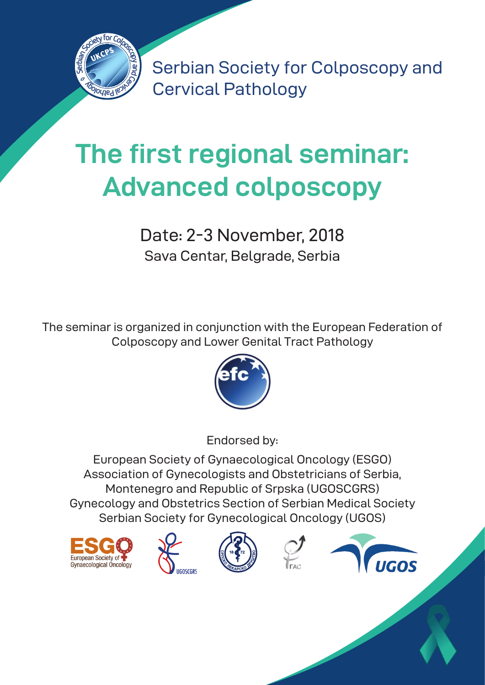

Serbian Society for Colposcopy and Cervical Pathology

# **The first regional seminar: Advanced colposcopy**

Date: 2-3 November, 2018 Sava Centar, Belgrade, Serbia

The seminar is organized in conjunction with the European Federation of Colposcopy and Lower Genital Tract Pathology



Endorsed by:

European Society of Gynaecological Oncology (ESGO) Association of Gynecologists and Obstetricians of Serbia, Montenegro and Republic of Srpska (UGOSCGRS) Gynecology and Obstetrics Section of Serbian Medical Society Serbian Society for Gynecological Oncology (UGOS)









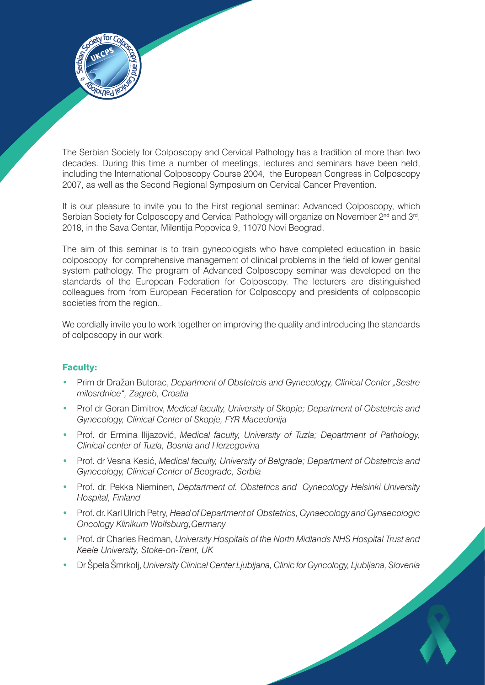

The Serbian Society for Colposcopy and Cervical Pathology has a tradition of more than two decades. During this time a number of meetings, lectures and seminars have been held, including the International Colposcopy Course 2004, the European Congress in Colposcopy 2007, as well as the Second Regional Symposium on Cervical Cancer Prevention.

It is our pleasure to invite you to the First regional seminar: Advanced Colposcopy, which Serbian Society for Colposcopy and Cervical Pathology will organize on November 2<sup>nd</sup> and 3<sup>rd</sup>, 2018, in the Sava Centar, Milentija Popovica 9, 11070 Novi Beograd.

The aim of this seminar is to train gynecologists who have completed education in basic colposcopy for comprehensive management of clinical problems in the field of lower genital system pathology. The program of Advanced Colposcopy seminar was developed on the standards of the European Federation for Colposcopy. The lecturers are distinguished colleagues from from European Federation for Colposcopy and presidents of colposcopic societies from the region..

We cordially invite you to work together on improving the quality and introducing the standards of colposcopy in our work.

### Faculty:

- Prim dr Dražan Butorac, *Department of Obstetrcis and Gynecology, Clinical Center "Sestre milosrdnice", Zagreb, Croatia*
- Prof dr Goran Dimitrov, *Medical faculty, University of Skopje; Department of Obstetrcis and Gynecology, Clinical Center of Skopje, FYR Macedonija*
- Prof. dr Ermina Ilijazović, *Medical faculty, University of Tuzla; Department of Pathology, Clinical center of Tuzla, Bosnia and Herzegovina*
- Prof. dr Vesna Kesić, *Medical faculty, University of Belgrade; Department of Obstetrcis and Gynecology, Clinical Center of Beograde, Serbia*
- Prof. dr. Pekka Nieminen*, Deptartment of. Obstetrics and Gynecology Helsinki University Hospital, Finland*
- Prof. dr. Karl Ulrich Petry*, Head of Department of Obstetrics, Gynaecology and Gynaecologic Oncology Klinikum Wolfsburg,Germany*
- Prof. dr Charles Redman*, University Hospitals of the North Midlands NHS Hospital Trust and Keele University, Stoke-on-Trent, UK*
- Dr Špela Šmrkolj, *University Clinical Center Ljubljana, Clinic for Gyncology, Ljubljana, Slovenia*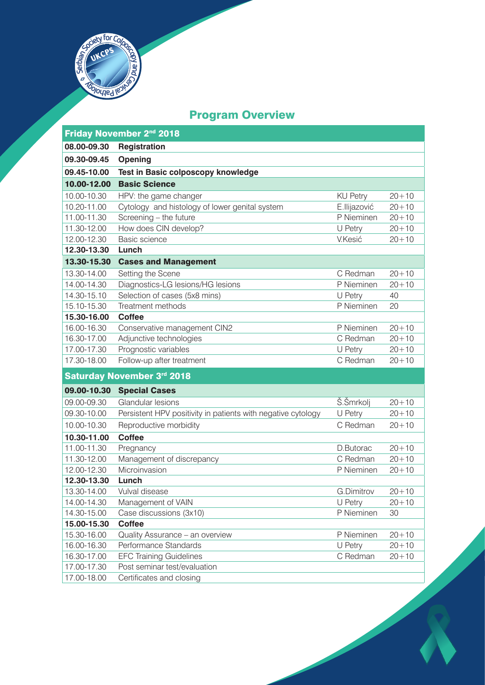

# Program Overview

| Friday November 2 <sup>nd</sup> 2018 |                                                              |                 |           |  |
|--------------------------------------|--------------------------------------------------------------|-----------------|-----------|--|
| 08.00-09.30                          | Registration                                                 |                 |           |  |
| 09.30-09.45                          | Opening                                                      |                 |           |  |
| 09.45-10.00                          | Test in Basic colposcopy knowledge                           |                 |           |  |
| 10.00-12.00                          | <b>Basic Science</b>                                         |                 |           |  |
| 10.00-10.30                          | HPV: the game changer                                        | <b>KU Petry</b> | $20 + 10$ |  |
| 10.20-11.00                          | Cytology and histology of lower genital system               | E.Ilijazović    | $20 + 10$ |  |
| 11.00-11.30                          | Screening - the future                                       | P Nieminen      | $20 + 10$ |  |
| 11.30-12.00                          | How does CIN develop?                                        | U Petry         | $20 + 10$ |  |
| 12.00-12.30                          | Basic science                                                | V.Kesić         | $20 + 10$ |  |
| 12.30-13.30                          | Lunch                                                        |                 |           |  |
| 13.30-15.30                          | <b>Cases and Management</b>                                  |                 |           |  |
| 13.30-14.00                          | Setting the Scene                                            | C Redman        | $20 + 10$ |  |
| 14.00-14.30                          | Diagnostics-LG lesions/HG lesions                            | P Nieminen      | $20 + 10$ |  |
| 14.30-15.10                          | Selection of cases (5x8 mins)                                | U Petry         | 40        |  |
| 15.10-15.30                          | Treatment methods                                            | P Nieminen      | 20        |  |
| 15.30-16.00                          | <b>Coffee</b>                                                |                 |           |  |
| 16.00-16.30                          | Conservative management CIN2                                 | P Nieminen      | $20 + 10$ |  |
| 16.30-17.00                          | Adjunctive technologies                                      | C Redman        | $20 + 10$ |  |
| 17.00-17.30                          | Prognostic variables                                         | U Petry         | $20 + 10$ |  |
| 17.30-18.00                          | Follow-up after treatment                                    | C Redman        | $20 + 10$ |  |
| Saturday November 3rd 2018           |                                                              |                 |           |  |
| 09.00-10.30                          | <b>Special Cases</b>                                         |                 |           |  |
| 09.00-09.30                          | Glandular lesions                                            | Š.Šmrkolj       | $20 + 10$ |  |
| 09.30-10.00                          | Persistent HPV positivity in patients with negative cytology | U Petry         | $20 + 10$ |  |
| 10.00-10.30                          | Reproductive morbidity                                       | C Redman        | $20 + 10$ |  |
| 10.30-11.00                          | <b>Coffee</b>                                                |                 |           |  |
| 11.00-11.30                          | Pregnancy                                                    | D.Butorac       | $20 + 10$ |  |
| 11.30-12.00                          | Management of discrepancy                                    | C Redman        | $20 + 10$ |  |
| 12.00-12.30                          | Microinvasion                                                | P Nieminen      | $20 + 10$ |  |
| 12.30-13.30                          | Lunch                                                        |                 |           |  |
| 13.30-14.00                          | Vulval disease                                               | G.Dimitrov      | $20 + 10$ |  |
| 14.00-14.30                          | Management of VAIN                                           | U Petry         | $20 + 10$ |  |
| 14.30-15.00                          | Case discussions (3x10)                                      | P Nieminen      | 30        |  |
| 15.00-15.30                          | <b>Coffee</b>                                                |                 |           |  |
| 15.30-16.00                          | Quality Assurance - an overview                              | P Nieminen      | $20 + 10$ |  |
| 16.00-16.30                          | Performance Standards                                        | U Petry         | $20 + 10$ |  |
| 16.30-17.00                          | <b>EFC Training Guidelines</b>                               | C Redman        | $20 + 10$ |  |
| 17.00-17.30                          | Post seminar test/evaluation                                 |                 |           |  |
| 17.00-18.00                          | Certificates and closing                                     |                 |           |  |